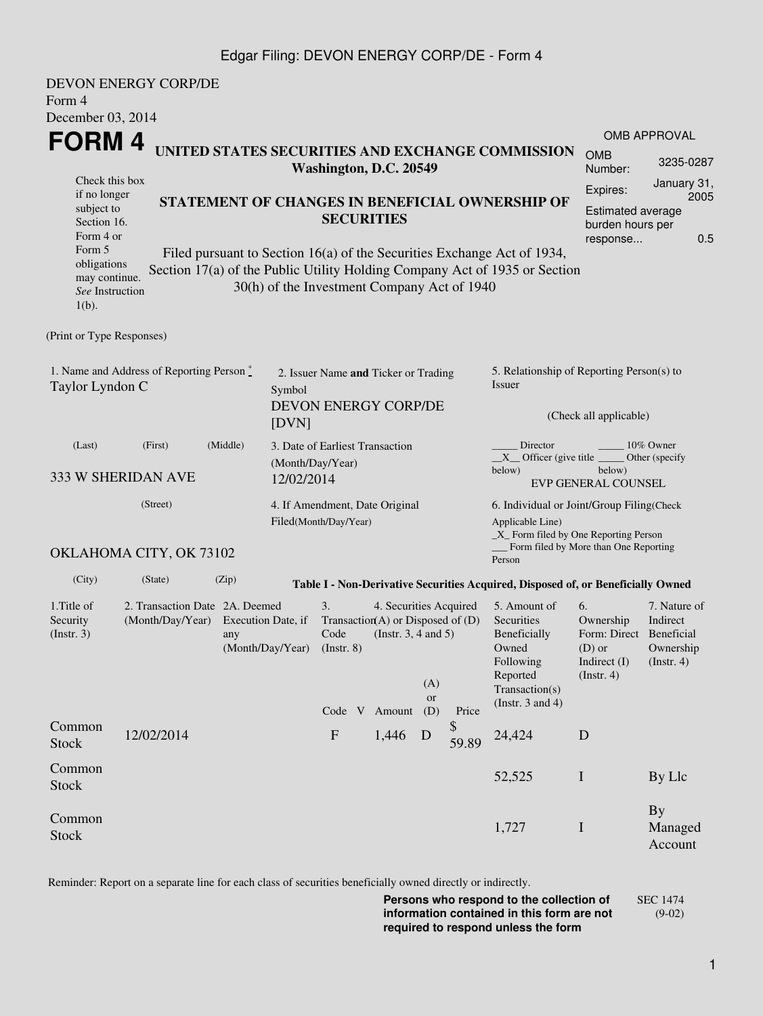## Edgar Filing: DEVON ENERGY CORP/DE - Form 4

| Form 4                                                                                                                                            | <b>DEVON ENERGY CORP/DE</b>                                                  |                                                                                                                                                                                                                                                                              |                                                                                  |                                                                                                                                         |                                                                               |             |                                                                                                                                                    |                                                                                        |                                                     |  |  |
|---------------------------------------------------------------------------------------------------------------------------------------------------|------------------------------------------------------------------------------|------------------------------------------------------------------------------------------------------------------------------------------------------------------------------------------------------------------------------------------------------------------------------|----------------------------------------------------------------------------------|-----------------------------------------------------------------------------------------------------------------------------------------|-------------------------------------------------------------------------------|-------------|----------------------------------------------------------------------------------------------------------------------------------------------------|----------------------------------------------------------------------------------------|-----------------------------------------------------|--|--|
| December 03, 2014<br>FORM 4<br>UNITED STATES SECURITIES AND EXCHANGE COMMISSION<br>Washington, D.C. 20549                                         |                                                                              |                                                                                                                                                                                                                                                                              |                                                                                  |                                                                                                                                         |                                                                               |             |                                                                                                                                                    |                                                                                        | <b>OMB APPROVAL</b><br>3235-0287                    |  |  |
| Check this box<br>if no longer<br>subject to<br>Section 16.<br>Form 4 or<br>Form 5<br>obligations<br>may continue.<br>See Instruction<br>$1(b)$ . |                                                                              | STATEMENT OF CHANGES IN BENEFICIAL OWNERSHIP OF<br><b>SECURITIES</b><br>Filed pursuant to Section 16(a) of the Securities Exchange Act of 1934,<br>Section 17(a) of the Public Utility Holding Company Act of 1935 or Section<br>30(h) of the Investment Company Act of 1940 |                                                                                  |                                                                                                                                         |                                                                               |             |                                                                                                                                                    |                                                                                        |                                                     |  |  |
| (Print or Type Responses)                                                                                                                         |                                                                              |                                                                                                                                                                                                                                                                              |                                                                                  |                                                                                                                                         |                                                                               |             |                                                                                                                                                    |                                                                                        |                                                     |  |  |
| 1. Name and Address of Reporting Person $\stackrel{*}{\mathbb{L}}$<br>Taylor Lyndon C                                                             | 2. Issuer Name and Ticker or Trading<br><b>DEVON ENERGY CORP/DE</b><br>[DVN] |                                                                                                                                                                                                                                                                              |                                                                                  |                                                                                                                                         | 5. Relationship of Reporting Person(s) to<br>Issuer<br>(Check all applicable) |             |                                                                                                                                                    |                                                                                        |                                                     |  |  |
| (Last)                                                                                                                                            | (First)<br>333 W SHERIDAN AVE                                                | (Middle)<br>12/02/2014                                                                                                                                                                                                                                                       | 3. Date of Earliest Transaction<br>(Month/Day/Year)                              |                                                                                                                                         |                                                                               |             | Director<br>10% Owner<br>$X$ Officer (give title $\overline{\phantom{a}}$<br>Other (specify<br>below)<br>below)<br><b>EVP GENERAL COUNSEL</b>      |                                                                                        |                                                     |  |  |
|                                                                                                                                                   | (Street)                                                                     |                                                                                                                                                                                                                                                                              | 4. If Amendment, Date Original<br>Filed(Month/Day/Year)                          |                                                                                                                                         |                                                                               |             | 6. Individual or Joint/Group Filing(Check<br>Applicable Line)<br>$\_X$ Form filed by One Reporting Person<br>Form filed by More than One Reporting |                                                                                        |                                                     |  |  |
|                                                                                                                                                   | OKLAHOMA CITY, OK 73102                                                      |                                                                                                                                                                                                                                                                              |                                                                                  |                                                                                                                                         |                                                                               |             | Person                                                                                                                                             |                                                                                        |                                                     |  |  |
| (City)                                                                                                                                            | (State)                                                                      | (Zip)                                                                                                                                                                                                                                                                        | Table I - Non-Derivative Securities Acquired, Disposed of, or Beneficially Owned |                                                                                                                                         |                                                                               |             |                                                                                                                                                    |                                                                                        |                                                     |  |  |
| 1. Title of<br>Security<br>(Insert. 3)                                                                                                            | 2. Transaction Date 2A. Deemed<br>(Month/Day/Year)                           | Execution Date, if<br>any<br>(Month/Day/Year)                                                                                                                                                                                                                                | 3.<br>Code<br>$($ Instr. $8)$<br>Code V                                          | 4. Securities Acquired<br>Transaction(A) or Disposed of $(D)$<br>(Instr. $3, 4$ and $5$ )<br>(A)<br><b>or</b><br>Amount<br>(D)<br>Price |                                                                               |             | 5. Amount of<br>Securities<br>Beneficially<br>Owned<br>Following<br>Reported<br>Transaction(s)<br>(Instr. $3$ and $4$ )                            | 6.<br>Ownership<br>Form: Direct Beneficial<br>$(D)$ or<br>Indirect $(I)$<br>(Instr. 4) | 7. Nature of<br>Indirect<br>Ownership<br>(Instr. 4) |  |  |
| Common<br><b>Stock</b>                                                                                                                            | 12/02/2014                                                                   |                                                                                                                                                                                                                                                                              | $\boldsymbol{\mathrm{F}}$                                                        | 1,446                                                                                                                                   | D                                                                             | \$<br>59.89 | 24,424                                                                                                                                             | D                                                                                      |                                                     |  |  |
| Common<br><b>Stock</b>                                                                                                                            |                                                                              |                                                                                                                                                                                                                                                                              |                                                                                  |                                                                                                                                         |                                                                               |             | 52,525                                                                                                                                             | $\bf{I}$                                                                               | By Llc                                              |  |  |
| Common<br><b>Stock</b>                                                                                                                            |                                                                              |                                                                                                                                                                                                                                                                              |                                                                                  |                                                                                                                                         |                                                                               |             | 1,727                                                                                                                                              | I                                                                                      | <b>By</b><br>Managed<br>Account                     |  |  |

Reminder: Report on a separate line for each class of securities beneficially owned directly or indirectly.

**Persons who respond to the collection of information contained in this form are not required to respond unless the form** SEC 1474 (9-02)